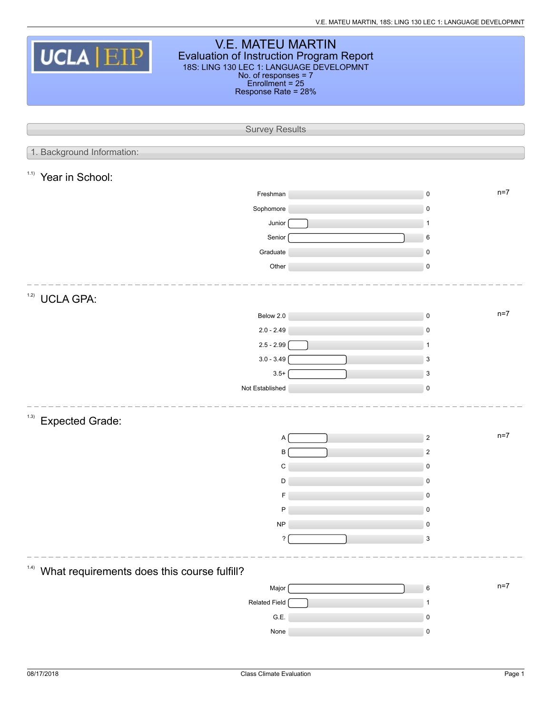| <b>V.E. MATEU MARTIN</b><br>UCLA EIP<br>Evaluation of Instruction Program Report<br>18S: LING 130 LEC 1: LANGUAGE DEVELOPMNT<br>No. of responses = 7<br>Enrollment = 25<br>Response Rate = 28% |  |                    |  |  |  |  |  |  |  |
|------------------------------------------------------------------------------------------------------------------------------------------------------------------------------------------------|--|--------------------|--|--|--|--|--|--|--|
| <b>Survey Results</b>                                                                                                                                                                          |  |                    |  |  |  |  |  |  |  |
| 1. Background Information:                                                                                                                                                                     |  |                    |  |  |  |  |  |  |  |
|                                                                                                                                                                                                |  |                    |  |  |  |  |  |  |  |
| 1.1)<br>Year in School:                                                                                                                                                                        |  |                    |  |  |  |  |  |  |  |
| Freshman                                                                                                                                                                                       |  | $n=7$<br>$\pmb{0}$ |  |  |  |  |  |  |  |
| Sophomore                                                                                                                                                                                      |  | 0                  |  |  |  |  |  |  |  |
| Junior                                                                                                                                                                                         |  | 1                  |  |  |  |  |  |  |  |
| Senior                                                                                                                                                                                         |  | 6                  |  |  |  |  |  |  |  |
| Graduate                                                                                                                                                                                       |  | $\mathbf 0$        |  |  |  |  |  |  |  |
| Other                                                                                                                                                                                          |  | $\pmb{0}$          |  |  |  |  |  |  |  |
| 1.2)<br><b>UCLA GPA:</b>                                                                                                                                                                       |  |                    |  |  |  |  |  |  |  |
| Below 2.0                                                                                                                                                                                      |  | $n=7$<br>$\pmb{0}$ |  |  |  |  |  |  |  |
| $2.0 - 2.49$                                                                                                                                                                                   |  | 0                  |  |  |  |  |  |  |  |
| $2.5 - 2.99$                                                                                                                                                                                   |  | $\mathbf{1}$       |  |  |  |  |  |  |  |
| $3.0 - 3.49$                                                                                                                                                                                   |  | 3                  |  |  |  |  |  |  |  |
| $3.5+$                                                                                                                                                                                         |  | 3                  |  |  |  |  |  |  |  |
| Not Established                                                                                                                                                                                |  | $\pmb{0}$          |  |  |  |  |  |  |  |
| (1.3)<br><b>Expected Grade:</b>                                                                                                                                                                |  |                    |  |  |  |  |  |  |  |
| Α                                                                                                                                                                                              |  | $n=7$<br>2         |  |  |  |  |  |  |  |
| B                                                                                                                                                                                              |  | $\overline{2}$     |  |  |  |  |  |  |  |
| C                                                                                                                                                                                              |  | 0                  |  |  |  |  |  |  |  |
| D                                                                                                                                                                                              |  | 0                  |  |  |  |  |  |  |  |
| F                                                                                                                                                                                              |  | 0                  |  |  |  |  |  |  |  |
| P                                                                                                                                                                                              |  | 0                  |  |  |  |  |  |  |  |
| $\sf NP$                                                                                                                                                                                       |  | 0                  |  |  |  |  |  |  |  |
| ?                                                                                                                                                                                              |  | 3                  |  |  |  |  |  |  |  |
| (1.4)<br>What requirements does this course fulfill?                                                                                                                                           |  |                    |  |  |  |  |  |  |  |
| Major                                                                                                                                                                                          |  | $n=7$<br>6         |  |  |  |  |  |  |  |
| Related Field                                                                                                                                                                                  |  |                    |  |  |  |  |  |  |  |
| G.E.                                                                                                                                                                                           |  | 0                  |  |  |  |  |  |  |  |
| None                                                                                                                                                                                           |  | $\pmb{0}$          |  |  |  |  |  |  |  |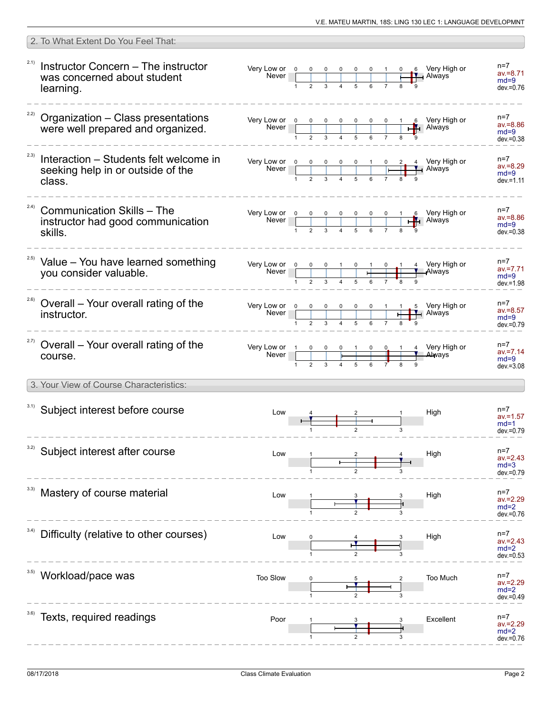| 2. To What Extent Do You Feel That:                                                    |          |  |  |  |                                                                                                    |                                                                                                          |                      |                                                                                                                                                                                                                                                                                                                                                    |
|----------------------------------------------------------------------------------------|----------|--|--|--|----------------------------------------------------------------------------------------------------|----------------------------------------------------------------------------------------------------------|----------------------|----------------------------------------------------------------------------------------------------------------------------------------------------------------------------------------------------------------------------------------------------------------------------------------------------------------------------------------------------|
| Instructor Concern - The instructor<br>was concerned about student<br>learning.        |          |  |  |  |                                                                                                    |                                                                                                          |                      | $n=7$<br>$av = 8.71$<br>$md=9$<br>$dev = 0.76$                                                                                                                                                                                                                                                                                                     |
| <sup>22)</sup> Organization - Class presentations<br>were well prepared and organized. |          |  |  |  |                                                                                                    |                                                                                                          |                      | $n=7$<br>$av = 8.86$<br>$md=9$<br>$dev = 0.38$                                                                                                                                                                                                                                                                                                     |
| Interaction – Students felt welcome in<br>seeking help in or outside of the<br>class.  |          |  |  |  |                                                                                                    |                                                                                                          |                      | $n=7$<br>$av = 8.29$<br>$md=9$<br>$dev = 1.11$                                                                                                                                                                                                                                                                                                     |
| <b>Communication Skills - The</b><br>instructor had good communication<br>skills.      |          |  |  |  |                                                                                                    |                                                                                                          |                      | n=7<br>$av = 8.86$<br>$md=9$<br>$dev = 0.38$                                                                                                                                                                                                                                                                                                       |
| <sup>2.5)</sup> Value - You have learned something<br>vou consider valuable.           |          |  |  |  |                                                                                                    |                                                                                                          |                      | $n=7$<br>$av = 7.71$<br>$md=9$<br>$dev = 1.98$                                                                                                                                                                                                                                                                                                     |
| Overall – Your overall rating of the<br>instructor.                                    |          |  |  |  |                                                                                                    |                                                                                                          |                      | n=7<br>$av = 8.57$<br>$md=9$<br>dev.=0.79                                                                                                                                                                                                                                                                                                          |
| <sup>2.7)</sup> Overall - Your overall rating of the<br>course.                        |          |  |  |  |                                                                                                    |                                                                                                          |                      | $n=7$<br>$av = 7.14$<br>$md=9$<br>$dev = 3.08$                                                                                                                                                                                                                                                                                                     |
| 3. Your View of Course Characteristics:                                                |          |  |  |  |                                                                                                    |                                                                                                          |                      |                                                                                                                                                                                                                                                                                                                                                    |
| 3.1) Subject interest before course                                                    | Low      |  |  |  |                                                                                                    |                                                                                                          |                      | $n=7$<br>$av = 1.57$<br>$md=1$<br>$dev = 0.79$                                                                                                                                                                                                                                                                                                     |
| Subject interest after course                                                          | Low      |  |  |  |                                                                                                    |                                                                                                          |                      | $n=7$<br>$av = 2.43$<br>$md=3$<br>dev.=0.79                                                                                                                                                                                                                                                                                                        |
| Mastery of course material                                                             | Low      |  |  |  |                                                                                                    |                                                                                                          |                      | n=7<br>av.=2.29<br>$md=2$<br>$dev = 0.76$                                                                                                                                                                                                                                                                                                          |
| Difficulty (relative to other courses)                                                 | Low      |  |  |  |                                                                                                    |                                                                                                          |                      | $n=7$<br>$av = 2.43$<br>$md=2$<br>$dev = 0.53$                                                                                                                                                                                                                                                                                                     |
| Workload/pace was                                                                      | Too Slow |  |  |  |                                                                                                    |                                                                                                          |                      | n=7<br>$av = 2.29$<br>$md=2$<br>$dev = 0.49$                                                                                                                                                                                                                                                                                                       |
| Texts, required readings                                                               | Poor     |  |  |  |                                                                                                    |                                                                                                          |                      | n=7<br>$av = 2.29$<br>$md=2$<br>dev.=0.76                                                                                                                                                                                                                                                                                                          |
|                                                                                        |          |  |  |  | Very Low or $\begin{array}{ c c c c c }\n\hline\n0 & 0 & 0 & 1 & 0 & 1 & 0 \\ \hline\n\end{array}$ | Very Low or 0 0 0 0 0 0 1<br>Never 1 2 3 4 5 6 7<br>Very Low or 1 0 0 0 1 0 0 1<br>Never 1 2 3 4 5 6 7 8 | High<br>High<br>High | 0 6 Very High or<br><b>TAN</b> Always<br>4 Very High or<br>Always<br>Very Low or $\begin{array}{ c c c c c c c c c }\n\hline\n& & & & & & \\ \hline\n& & & & & & & \\ \hline\n& 1 & 2 & 3 & 4 & 5 & 6 & 7 & 8 & 9 \\ \hline\n& 1 & 2 & 3 & 4 & 5 & 6 & 7 & 8 & 9\n\end{array}$ Always<br>4 Very High or<br>Always<br>High<br>Too Much<br>Excellent |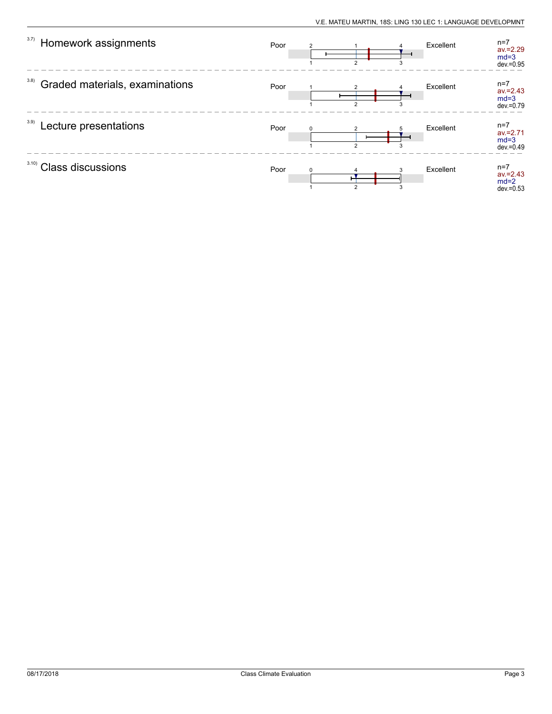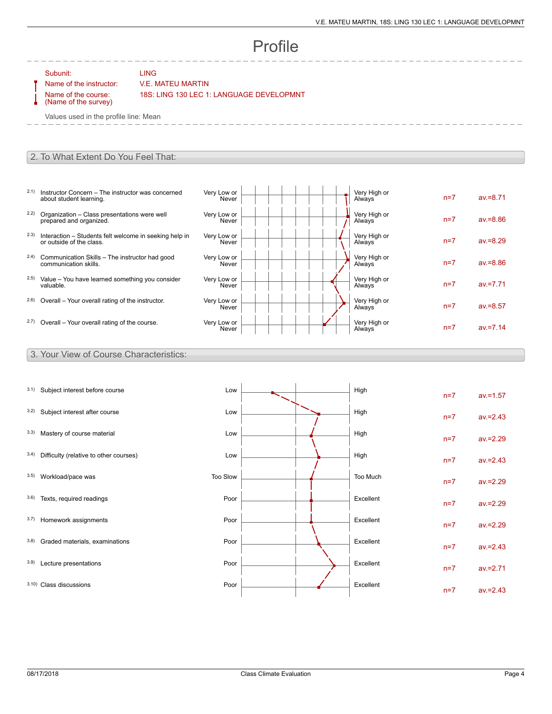# Profile

Subunit: LING

### Name of the instructor: V.E. MATEU MARTIN

Name of the course: (Name of the survey) 18S: LING 130 LEC 1: LANGUAGE DEVELOPMNT

Values used in the profile line: Mean

#### 2. To What Extent Do You Feel That:

- 2.1) Instructor Concern The instructor was concerned about student learning.
- 2.2) Organization Class presentations were well prepared and organized.
- 2.3) Interaction Students felt welcome in seeking help in or outside of the class.
- 2.4) Communication Skills The instructor had good communication skills.
- 2.5) Value You have learned something you consider valuable.
- $2.6$ ) Overall Your overall rating of the instructor.
- $2.7)$  Overall Your overall rating of the course.

| Very Low or<br>Never | Very High or<br>Always | $n=7$ | $av = 8.71$ |
|----------------------|------------------------|-------|-------------|
| Very Low or<br>Never | Very High or<br>Always | $n=7$ | $av = 8.86$ |
| Very Low or<br>Never | Very High or<br>Always | $n=7$ | $av = 8.29$ |
| Very Low or<br>Never | Very High or<br>Always | $n=7$ | $av = 8.86$ |
| Very Low or<br>Never | Very High or<br>Always | $n=7$ | $av = 7.71$ |
| Very Low or<br>Never | Very High or<br>Always | $n=7$ | $av = 8.57$ |
| Very Low or<br>Never | Very High or<br>Always | $n=7$ | $av = 7.14$ |

#### 3. Your View of Course Characteristics:

| 3.1) | Subject interest before course         | Low      |  | High      | $n=7$ | $av = 1.57$ |
|------|----------------------------------------|----------|--|-----------|-------|-------------|
| 3.2) | Subject interest after course          | Low      |  | High      | $n=7$ | $av = 2.43$ |
| 3.3) | Mastery of course material             | Low      |  | High      | $n=7$ | $av = 2.29$ |
| 3.4) | Difficulty (relative to other courses) | Low      |  | High      | $n=7$ | $av = 2.43$ |
| 3.5) | Workload/pace was                      | Too Slow |  | Too Much  | $n=7$ | $av = 2.29$ |
| 3.6) | Texts, required readings               | Poor     |  | Excellent | $n=7$ | $av = 2.29$ |
| 3.7) | Homework assignments                   | Poor     |  | Excellent | $n=7$ | $av = 2.29$ |
| 3.8) | Graded materials, examinations         | Poor     |  | Excellent | $n=7$ | $av = 2.43$ |
| 3.9) | Lecture presentations                  | Poor     |  | Excellent | $n=7$ | $av = 2.71$ |
|      | 3.10) Class discussions                | Poor     |  | Excellent | $n=7$ | $av = 2.43$ |